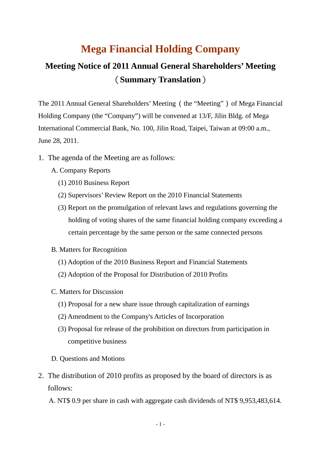## **Mega Financial Holding Company**

## **Meeting Notice of 2011 Annual General Shareholders' Meeting** (**Summary Translation**)

The 2011 Annual General Shareholders' Meeting (the "Meeting") of Mega Financial Holding Company (the "Company") will be convened at 13/F, Jilin Bldg. of Mega International Commercial Bank, No. 100, Jilin Road, Taipei, Taiwan at 09:00 a.m., June 28, 2011.

- 1. The agenda of the Meeting are as follows:
	- A. Company Reports
		- (1) 2010 Business Report
		- (2) Supervisors' Review Report on the 2010 Financial Statements
		- (3) Report on the promulgation of relevant laws and regulations governing the holding of voting shares of the same financial holding company exceeding a certain percentage by the same person or the same connected persons
	- B. Matters for Recognition
		- (1) Adoption of the 2010 Business Report and Financial Statements
		- (2) Adoption of the Proposal for Distribution of 2010 Profits
	- C. Matters for Discussion
		- (1) Proposal for a new share issue through capitalization of earnings
		- (2) Amendment to the Company's Articles of Incorporation
		- (3) Proposal for release of the prohibition on directors from participation in competitive business
	- D. Questions and Motions
- 2. The distribution of 2010 profits as proposed by the board of directors is as follows:
	- A. NT\$ 0.9 per share in cash with aggregate cash dividends of NT\$ 9,953,483,614.